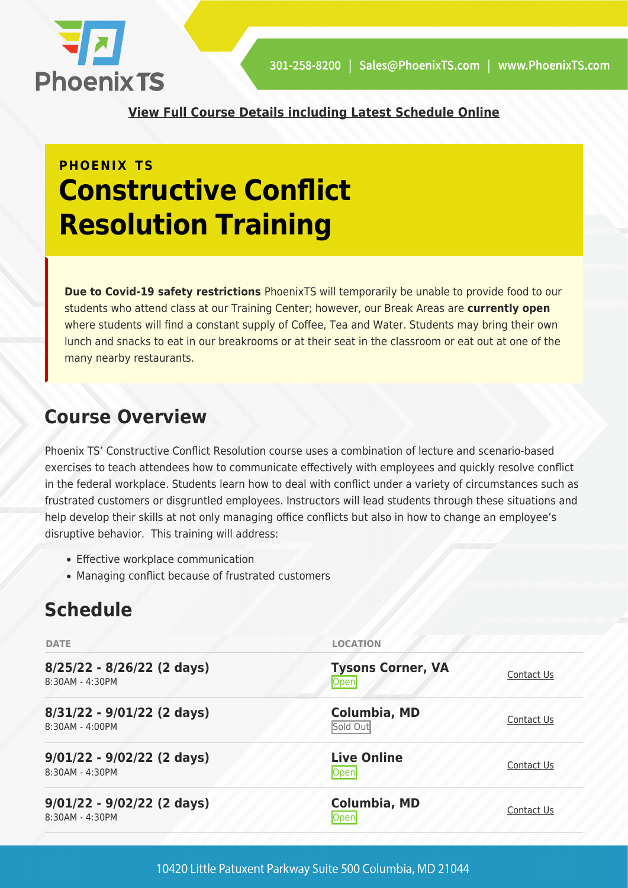

**[View Full Course Details including Latest Schedule Online](https://phoenixts.com/training-courses/conflict-resolution/)**

# **PHOENIX TS Constructive Conflict Resolution Training**

**Due to Covid-19 safety restrictions** PhoenixTS will temporarily be unable to provide food to our students who attend class at our Training Center; however, our Break Areas are **currently open** where students will find a constant supply of Coffee, Tea and Water. Students may bring their own lunch and snacks to eat in our breakrooms or at their seat in the classroom or eat out at one of the many nearby restaurants.

## **Course Overview**

Phoenix TS' Constructive Conflict Resolution course uses a combination of lecture and scenario-based exercises to teach attendees how to communicate effectively with employees and quickly resolve conflict in the federal workplace. Students learn how to deal with conflict under a variety of circumstances such as frustrated customers or disgruntled employees. Instructors will lead students through these situations and help develop their skills at not only managing office conflicts but also in how to change an employee's disruptive behavior. This training will address:

- Effective workplace communication
- Managing conflict because of frustrated customers

## **Schedule**

| <b>DATE</b>                                     | <b>LOCATION</b>                  |            |  |
|-------------------------------------------------|----------------------------------|------------|--|
| 8/25/22 - 8/26/22 (2 days)<br>8:30AM - 4:30PM   | <b>Tysons Corner, VA</b><br>Open | Contact Us |  |
| 8/31/22 - 9/01/22 (2 days)<br>8:30AM - 4:00PM   | Columbia, MD<br>Sold Out         | Contact Us |  |
| $9/01/22 - 9/02/22$ (2 days)<br>8:30AM - 4:30PM | <b>Live Online</b><br>Open       | Contact Us |  |
| $9/01/22 - 9/02/22$ (2 days)<br>8:30AM - 4:30PM | <b>Columbia, MD</b><br>Open      | Contact Us |  |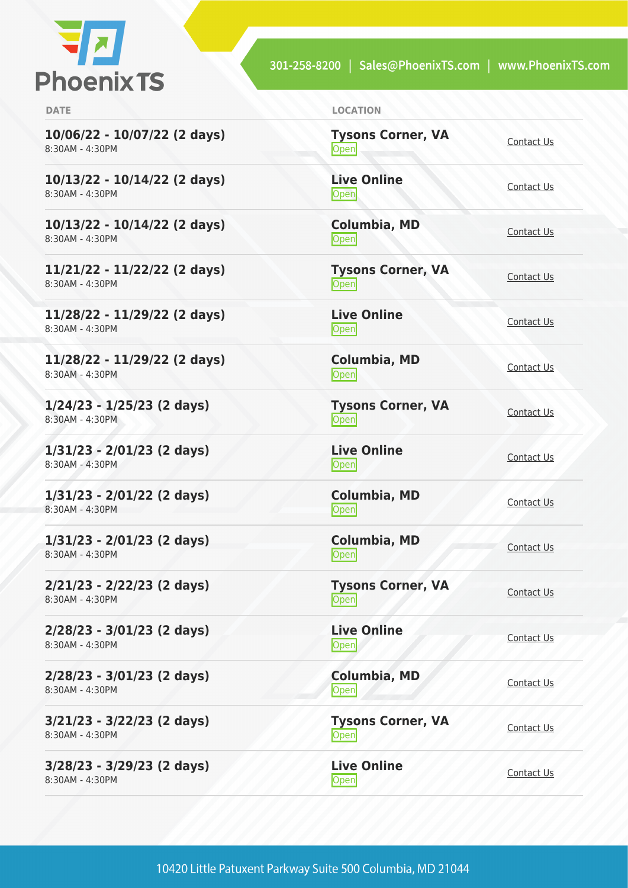

301-258-8200 | Sales@PhoenixTS.com | www.PhoenixTS.com

| <b>DATE</b>                                       | <b>LOCATION</b>                   |            |
|---------------------------------------------------|-----------------------------------|------------|
| 10/06/22 - 10/07/22 (2 days)<br>8:30AM - 4:30PM   | <b>Tysons Corner, VA</b><br>Open  | Contact Us |
| $10/13/22 - 10/14/22$ (2 days)<br>8:30AM - 4:30PM | <b>Live Online</b><br>Open        | Contact Us |
| $10/13/22 - 10/14/22$ (2 days)<br>8:30AM - 4:30PM | <b>Columbia, MD</b><br>Open       | Contact Us |
| 11/21/22 - 11/22/22 (2 days)<br>8:30AM - 4:30PM   | <b>Tysons Corner, VA</b><br>Open  | Contact Us |
| 11/28/22 - 11/29/22 (2 days)<br>8:30AM - 4:30PM   | <b>Live Online</b><br>Open        | Contact Us |
| 11/28/22 - 11/29/22 (2 days)<br>8:30AM - 4:30PM   | Columbia, MD<br><b>Open</b>       | Contact Us |
| $1/24/23 - 1/25/23$ (2 days)<br>8:30AM - 4:30PM   | <b>Tysons Corner, VA</b><br>Open  | Contact Us |
| $1/31/23 - 2/01/23$ (2 days)<br>8:30AM - 4:30PM   | <b>Live Online</b><br><b>Open</b> | Contact Us |
| $1/31/23 - 2/01/22$ (2 days)<br>8:30AM - 4:30PM   | <b>Columbia, MD</b><br>Open       | Contact Us |
| $1/31/23 - 2/01/23$ (2 days)<br>8:30AM - 4:30PM   | <b>Columbia, MD</b><br>Open       | Contact Us |
| $2/21/23 - 2/22/23$ (2 days)<br>8:30AM - 4:30PM   | <b>Tysons Corner, VA</b><br>Open  | Contact Us |
| $2/28/23 - 3/01/23$ (2 days)<br>8:30AM - 4:30PM   | <b>Live Online</b><br>Open        | Contact Us |
| $2/28/23 - 3/01/23$ (2 days)<br>8:30AM - 4:30PM   | Columbia, MD<br>Open              | Contact Us |
| $3/21/23 - 3/22/23$ (2 days)<br>8:30AM - 4:30PM   | <b>Tysons Corner, VA</b><br>Open  | Contact Us |
| $3/28/23 - 3/29/23$ (2 days)<br>8:30AM - 4:30PM   | <b>Live Online</b><br>Open        | Contact Us |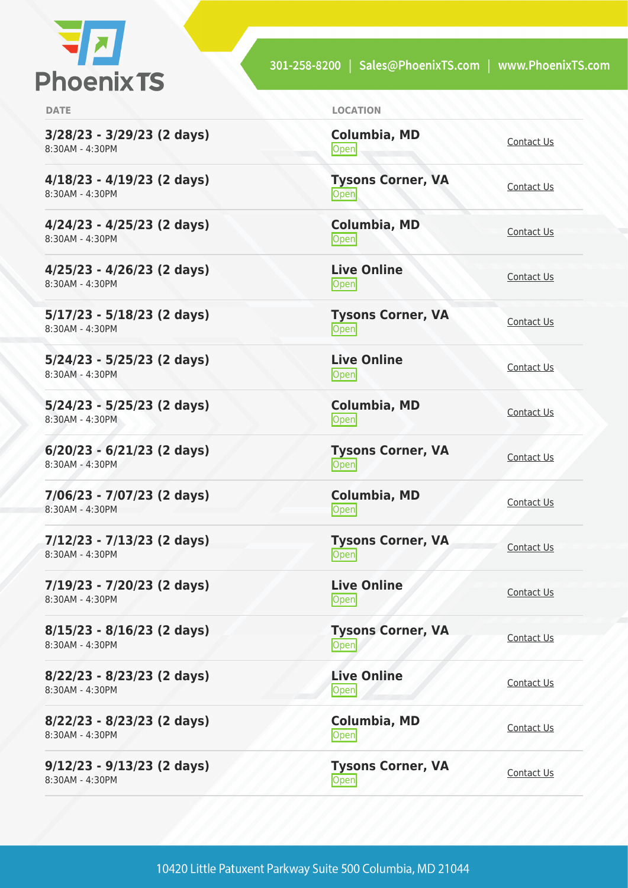

301-258-8200 | Sales@PhoenixTS.com | www.PhoenixTS.com

**3/28/23 - 3/29/23 (2 days)** 8:30AM - 4:30PM

**4/18/23 - 4/19/23 (2 days)** 8:30AM - 4:30PM

**4/24/23 - 4/25/23 (2 days)** 8:30AM - 4:30PM

**4/25/23 - 4/26/23 (2 days)** 8:30AM - 4:30PM

**5/17/23 - 5/18/23 (2 days)** 8:30AM - 4:30PM

**5/24/23 - 5/25/23 (2 days)** 8:30AM - 4:30PM

**5/24/23 - 5/25/23 (2 days)** 8:30AM - 4:30PM

**6/20/23 - 6/21/23 (2 days)** 8:30AM - 4:30PM

**7/06/23 - 7/07/23 (2 days)** 8:30AM - 4:30PM

**7/12/23 - 7/13/23 (2 days)** 8:30AM - 4:30PM

**7/19/23 - 7/20/23 (2 days)** 8:30AM - 4:30PM

**8/15/23 - 8/16/23 (2 days)** 8:30AM - 4:30PM

**8/22/23 - 8/23/23 (2 days)** 8:30AM - 4:30PM

**8/22/23 - 8/23/23 (2 days)** 8:30AM - 4:30PM

**9/12/23 - 9/13/23 (2 days)** 8:30AM - 4:30PM

**DATE LOCATION**

**Columbia, MD** [Contact Us](https://phoenixts.com/schedule/more-info/?class=31644)<br>Open

**Tysons Corner, VA** <u>Open</u>

**Columbia, MD** [Contact Us](https://phoenixts.com/schedule/more-info/?class=31653)<br>
Open

**Live Online** <u>[Contact Us](https://phoenixts.com/schedule/more-info/?class=31646)</u>

**Tysons Corner, VA** <u>Open</u> [Contact Us](https://phoenixts.com/schedule/more-info/?class=31622)

**Live Online** <u>Open</u> [Contact Us](https://phoenixts.com/schedule/more-info/?class=31641)

**Columbia, MD [Contact Us](https://phoenixts.com/schedule/more-info/?class=31652)**<br>
Open

**Tysons Corner, VA Open** [Contact Us](https://phoenixts.com/schedule/more-info/?class=31623)

**Columbia, MD [Contact Us](https://phoenixts.com/schedule/more-info/?class=23175)**<br>Open

**Tysons Corner, VA Open** [Contact Us](https://phoenixts.com/schedule/more-info/?class=31624)

**Live Online** <u>Open</u> [Contact Us](https://phoenixts.com/schedule/more-info/?class=31635)

**Tysons Corner, VA Open** [Contact Us](https://phoenixts.com/schedule/more-info/?class=31625)

**Live Online [Contact Us](https://phoenixts.com/schedule/more-info/?class=31630)** 

**Columbia, MD** [Contact Us](https://phoenixts.com/schedule/more-info/?class=31651)<br>Open

**Tysons Corner, VA Open** [Contact Us](https://phoenixts.com/schedule/more-info/?class=31626) Contact Us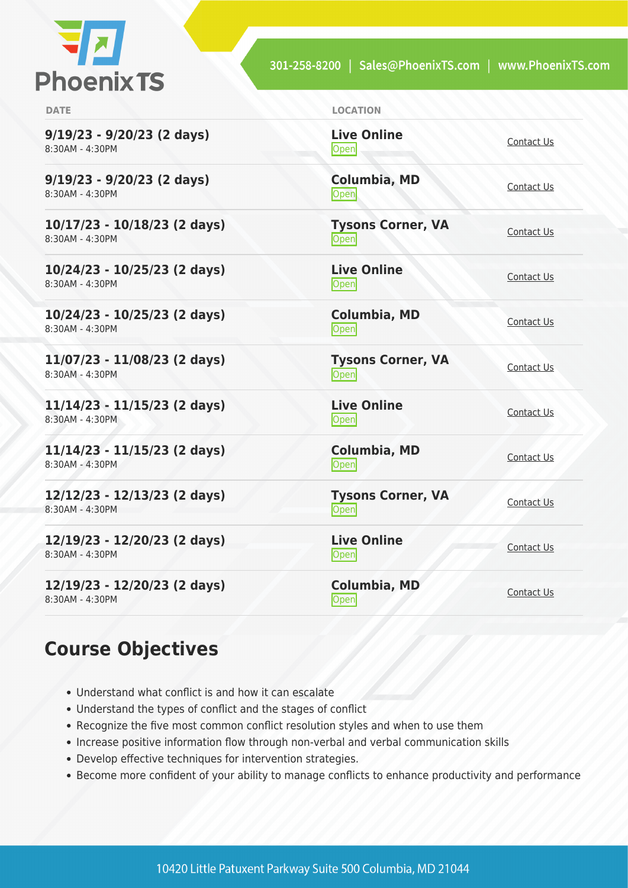

| <b>DATE</b>                                       | <b>LOCATION</b>                  |                   |
|---------------------------------------------------|----------------------------------|-------------------|
| $9/19/23 - 9/20/23$ (2 days)<br>8:30AM - 4:30PM   | <b>Live Online</b><br>Open       | Contact Us        |
| $9/19/23 - 9/20/23$ (2 days)<br>8:30AM - 4:30PM   | Columbia, MD<br>Open             | Contact Us        |
| $10/17/23 - 10/18/23$ (2 days)<br>8:30AM - 4:30PM | <b>Tysons Corner, VA</b><br>Open | Contact Us        |
| 10/24/23 - 10/25/23 (2 days)<br>8:30AM - 4:30PM   | <b>Live Online</b><br>Open       | Contact Us        |
| $10/24/23 - 10/25/23$ (2 days)<br>8:30AM - 4:30PM | <b>Columbia, MD</b><br>Open      | Contact Us        |
| 11/07/23 - 11/08/23 (2 days)<br>8:30AM - 4:30PM   | <b>Tysons Corner, VA</b><br>Open | Contact Us        |
| $11/14/23 - 11/15/23$ (2 days)<br>8:30AM - 4:30PM | <b>Live Online</b><br>Open       | Contact Us        |
| $11/14/23 - 11/15/23$ (2 days)<br>8:30AM - 4:30PM | <b>Columbia, MD</b><br>Open      | <b>Contact Us</b> |
| 12/12/23 - 12/13/23 (2 days)<br>8:30AM - 4:30PM   | <b>Tysons Corner, VA</b><br>Open | Contact Us        |
| 12/19/23 - 12/20/23 (2 days)<br>8:30AM - 4:30PM   | <b>Live Online</b><br>Open       | Contact Us        |
| 12/19/23 - 12/20/23 (2 days)<br>8:30AM - 4:30PM   | <b>Columbia, MD</b><br>Open      | Contact Us        |

## **Course Objectives**

- Understand what conflict is and how it can escalate
- Understand the types of conflict and the stages of conflict
- Recognize the five most common conflict resolution styles and when to use them
- Increase positive information flow through non-verbal and verbal communication skills
- Develop effective techniques for intervention strategies.
- Become more confident of your ability to manage conflicts to enhance productivity and performance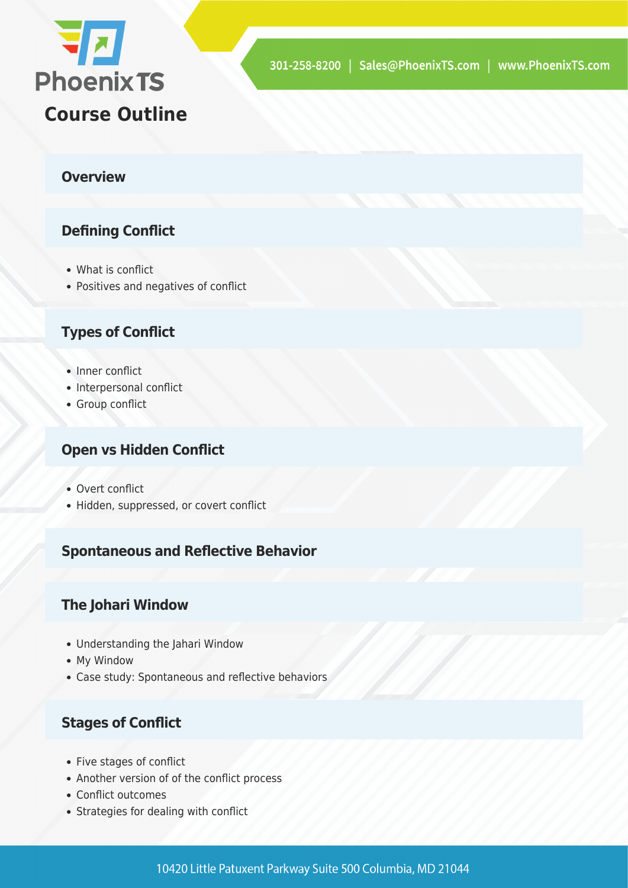

#### **Overview**

#### **Defining Conflict**

- What is conflict
- Positives and negatives of conflict

#### **Types of Conflict**

- Inner conflict
- Interpersonal conflict
- Group conflict

#### **Open vs Hidden Conflict**

- Overt conflict
- Hidden, suppressed, or covert conflict

#### **Spontaneous and Reflective Behavior**

#### **The Johari Window**

- Understanding the Jahari Window
- My Window
- Case study: Spontaneous and reflective behaviors

#### **Stages of Conflict**

- Five stages of conflict
- Another version of of the conflict process
- Conflict outcomes
- Strategies for dealing with conflict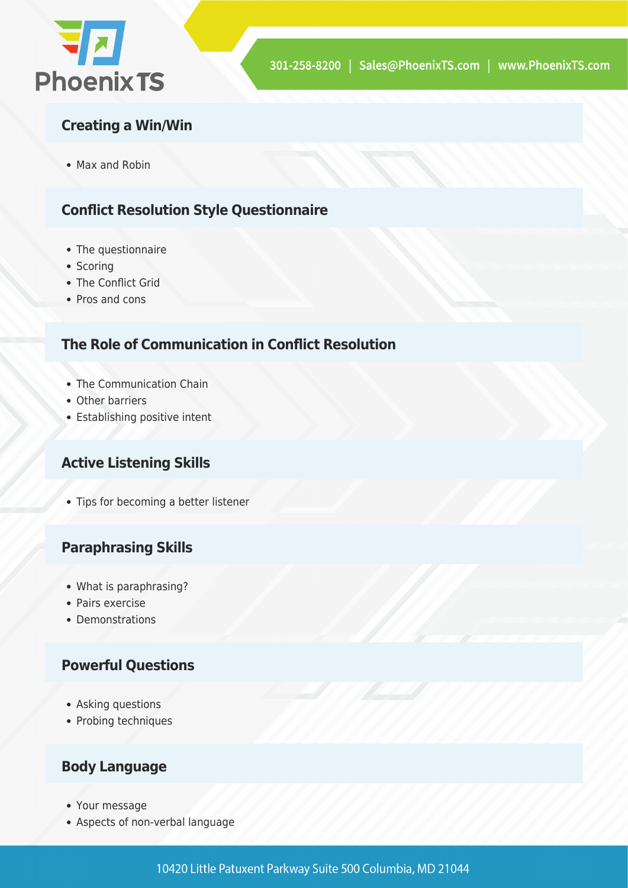

#### **Creating a Win/Win**

• Max and Robin

#### **Conflict Resolution Style Questionnaire**

- The questionnaire
- Scoring
- The Conflict Grid
- Pros and cons

#### **The Role of Communication in Conflict Resolution**

- The Communication Chain
- Other barriers
- Establishing positive intent

#### **Active Listening Skills**

• Tips for becoming a better listener

#### **Paraphrasing Skills**

- What is paraphrasing?
- Pairs exercise
- Demonstrations

#### **Powerful Questions**

- Asking questions
- Probing techniques

#### **Body Language**

- Your message
- Aspects of non-verbal language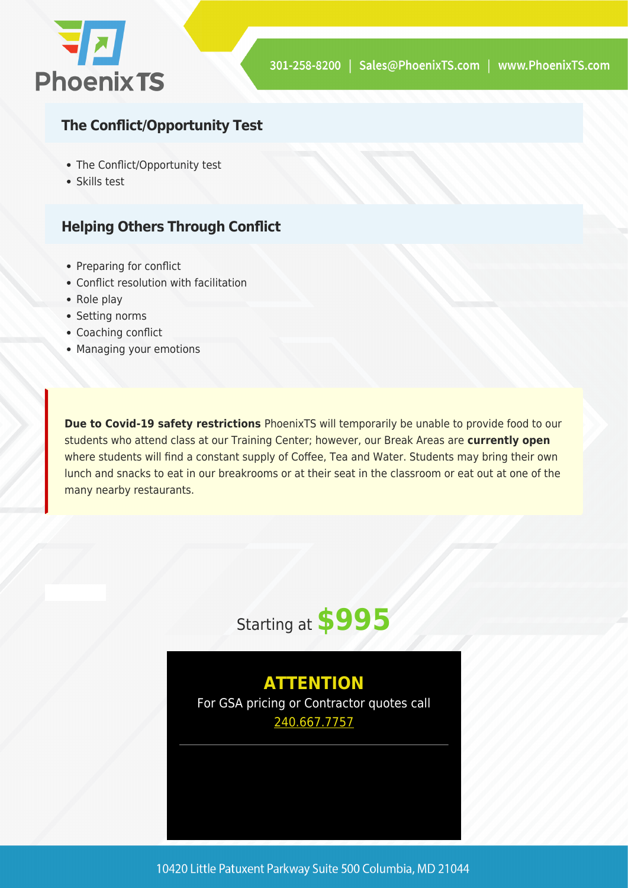

#### **The Conflict/Opportunity Test**

- The Conflict/Opportunity test
- Skills test

#### **Helping Others Through Conflict**

- Preparing for conflict
- Conflict resolution with facilitation
- Role play
- Setting norms
- Coaching conflict
- Managing your emotions

**Due to Covid-19 safety restrictions** PhoenixTS will temporarily be unable to provide food to our students who attend class at our Training Center; however, our Break Areas are **currently open** where students will find a constant supply of Coffee, Tea and Water. Students may bring their own lunch and snacks to eat in our breakrooms or at their seat in the classroom or eat out at one of the many nearby restaurants.



### **ATTENTION**

For GSA pricing or Contractor quotes call [240.667.7757](#page--1-0)

10420 Little Patuxent Parkway Suite 500 Columbia, MD 21044